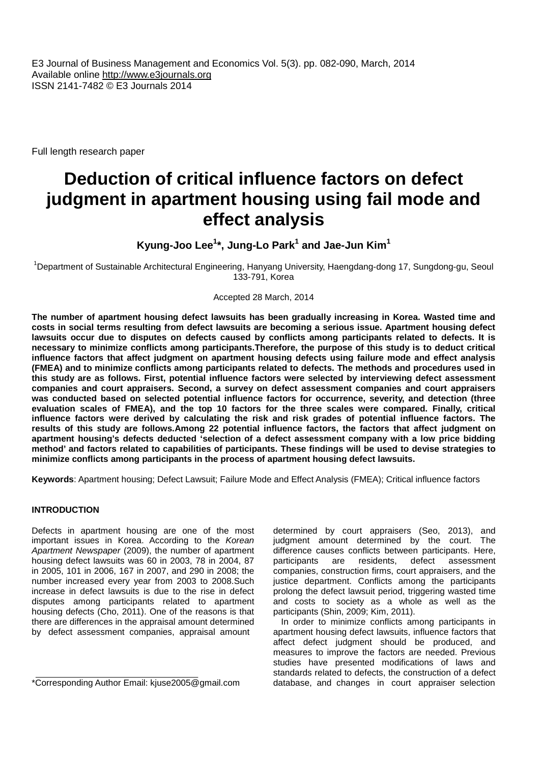E3 Journal of Business Management and Economics Vol. 5(3). pp. 082-090, March, 2014 Available online http://www.e3journals.org ISSN 2141-7482 © E3 Journals 2014

Full length research paper

# **Deduction of critical influence factors on defect judgment in apartment housing using fail mode and effect analysis**

## **Kyung-Joo Lee<sup>1</sup>\*, Jung-Lo Park<sup>1</sup> and Jae-Jun Kim<sup>1</sup>**

<sup>1</sup>Department of Sustainable Architectural Engineering, Hanyang University, Haengdang-dong 17, Sungdong-gu, Seoul 133-791, Korea

#### Accepted 28 March, 2014

**The number of apartment housing defect lawsuits has been gradually increasing in Korea. Wasted time and costs in social terms resulting from defect lawsuits are becoming a serious issue. Apartment housing defect lawsuits occur due to disputes on defects caused by conflicts among participants related to defects. It is necessary to minimize conflicts among participants.Therefore, the purpose of this study is to deduct critical influence factors that affect judgment on apartment housing defects using failure mode and effect analysis (FMEA) and to minimize conflicts among participants related to defects. The methods and procedures used in this study are as follows. First, potential influence factors were selected by interviewing defect assessment companies and court appraisers. Second, a survey on defect assessment companies and court appraisers was conducted based on selected potential influence factors for occurrence, severity, and detection (three evaluation scales of FMEA), and the top 10 factors for the three scales were compared. Finally, critical influence factors were derived by calculating the risk and risk grades of potential influence factors. The results of this study are follows.Among 22 potential influence factors, the factors that affect judgment on apartment housing's defects deducted 'selection of a defect assessment company with a low price bidding method' and factors related to capabilities of participants. These findings will be used to devise strategies to minimize conflicts among participants in the process of apartment housing defect lawsuits.**

**Keywords**: Apartment housing; Defect Lawsuit; Failure Mode and Effect Analysis (FMEA); Critical influence factors

## **INTRODUCTION**

Defects in apartment housing are one of the most important issues in Korea. According to the *Korean Apartment Newspaper* (2009), the number of apartment housing defect lawsuits was 60 in 2003, 78 in 2004, 87 in 2005, 101 in 2006, 167 in 2007, and 290 in 2008; the number increased every year from 2003 to 2008.Such increase in defect lawsuits is due to the rise in defect disputes among participants related to apartment housing defects (Cho, 2011). One of the reasons is that there are differences in the appraisal amount determined by defect assessment companies, appraisal amount

determined by court appraisers (Seo, 2013), and judgment amount determined by the court. The difference causes conflicts between participants. Here, participants are residents, defect assessment participants are residents, defect assessment companies, construction firms, court appraisers, and the justice department. Conflicts among the participants prolong the defect lawsuit period, triggering wasted time and costs to society as a whole as well as the participants (Shin, 2009; Kim, 2011).

In order to minimize conflicts among participants in apartment housing defect lawsuits, influence factors that affect defect judgment should be produced, and measures to improve the factors are needed. Previous studies have presented modifications of laws and standards related to defects, the construction of a defect database, and changes in court appraiser selection

<sup>\*</sup>Corresponding Author Email: kiuse2005@gmail.com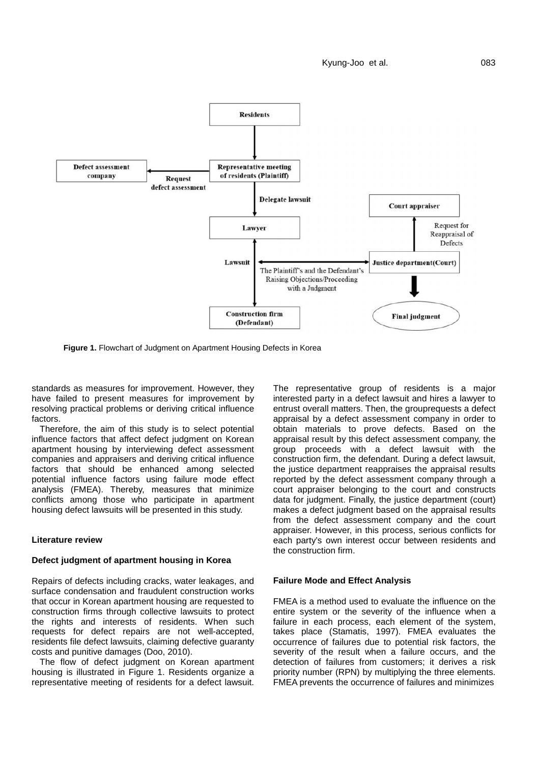Kyung-Joo et al. 083



**Figure 1.** Flowchart of Judgment on Apartment Housing Defects in Korea

standards as measures for improvement. However, they have failed to present measures for improvement by resolving practical problems or deriving critical influence factors.

Therefore, the aim of this study is to select potential influence factors that affect defect judgment on Korean apartment housing by interviewing defect assessment companies and appraisers and deriving critical influence factors that should be enhanced among selected potential influence factors using failure mode effect analysis (FMEA). Thereby, measures that minimize conflicts among those who participate in apartment housing defect lawsuits will be presented in this study.

## **Literature review**

## **Defect judgment of apartment housing in Korea**

Repairs of defects including cracks, water leakages, and surface condensation and fraudulent construction works that occur in Korean apartment housing are requested to construction firms through collective lawsuits to protect the rights and interests of residents. When such requests for defect repairs are not well-accepted, residents file defect lawsuits, claiming defective guaranty costs and punitive damages (Doo, 2010).

The flow of defect judgment on Korean apartment housing is illustrated in Figure 1. Residents organize a representative meeting of residents for a defect lawsuit.

The representative group of residents is a major interested party in a defect lawsuit and hires a lawyer to entrust overall matters. Then, the grouprequests a defect appraisal by a defect assessment company in order to obtain materials to prove defects. Based on the appraisal result by this defect assessment company, the group proceeds with a defect lawsuit with the construction firm, the defendant. During a defect lawsuit, the justice department reappraises the appraisal results reported by the defect assessment company through a court appraiser belonging to the court and constructs data for judgment. Finally, the justice department (court) makes a defect judgment based on the appraisal results from the defect assessment company and the court appraiser. However, in this process, serious conflicts for each party's own interest occur between residents and the construction firm.

#### **Failure Mode and Effect Analysis**

FMEA is a method used to evaluate the influence on the entire system or the severity of the influence when a failure in each process, each element of the system, takes place (Stamatis, 1997). FMEA evaluates the occurrence of failures due to potential risk factors, the severity of the result when a failure occurs, and the detection of failures from customers; it derives a risk priority number (RPN) by multiplying the three elements. FMEA prevents the occurrence of failures and minimizes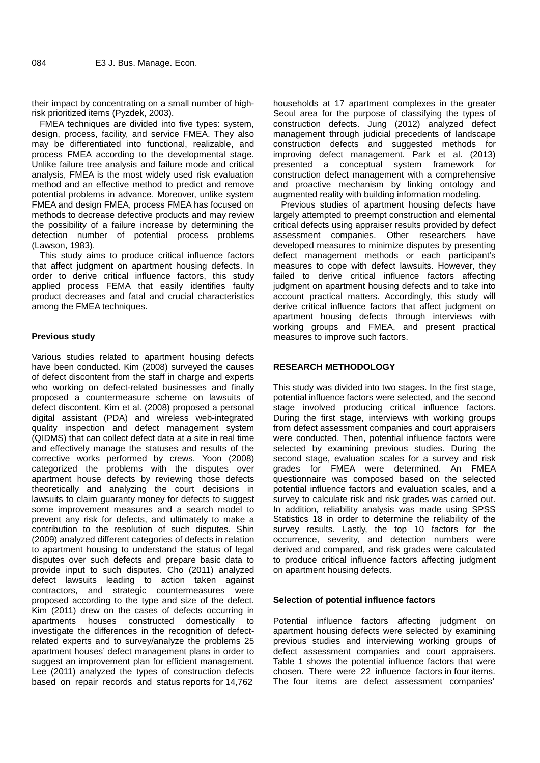their impact by concentrating on a small number of highrisk prioritized items (Pyzdek, 2003).

FMEA techniques are divided into five types: system, design, process, facility, and service FMEA. They also may be differentiated into functional, realizable, and process FMEA according to the developmental stage. Unlike failure tree analysis and failure mode and critical analysis, FMEA is the most widely used risk evaluation method and an effective method to predict and remove potential problems in advance. Moreover, unlike system FMEA and design FMEA, process FMEA has focused on methods to decrease defective products and may review the possibility of a failure increase by determining the detection number of potential process problems (Lawson, 1983).

This study aims to produce critical influence factors that affect judgment on apartment housing defects. In order to derive critical influence factors, this study applied process FEMA that easily identifies faulty product decreases and fatal and crucial characteristics among the FMEA techniques.

## **Previous study**

Various studies related to apartment housing defects have been conducted. Kim (2008) surveyed the causes of defect discontent from the staff in charge and experts who working on defect-related businesses and finally proposed a countermeasure scheme on lawsuits of defect discontent. Kim et al. (2008) proposed a personal digital assistant (PDA) and wireless web-integrated quality inspection and defect management system (QIDMS) that can collect defect data at a site in real time and effectively manage the statuses and results of the corrective works performed by crews. Yoon (2008) categorized the problems with the disputes over apartment house defects by reviewing those defects theoretically and analyzing the court decisions in lawsuits to claim guaranty money for defects to suggest some improvement measures and a search model to prevent any risk for defects, and ultimately to make a contribution to the resolution of such disputes. Shin (2009) analyzed different categories of defects in relation to apartment housing to understand the status of legal disputes over such defects and prepare basic data to provide input to such disputes. Cho (2011) analyzed defect lawsuits leading to action taken against contractors, and strategic countermeasures were proposed according to the type and size of the defect. Kim (2011) drew on the cases of defects occurring in apartments houses constructed domestically to investigate the differences in the recognition of defectrelated experts and to survey/analyze the problems 25 apartment houses' defect management plans in order to suggest an improvement plan for efficient management. Lee (2011) analyzed the types of construction defects based on repair records and status reports for 14,762

households at 17 apartment complexes in the greater Seoul area for the purpose of classifying the types of construction defects. Jung (2012) analyzed defect management through judicial precedents of landscape construction defects and suggested methods for improving defect management. Park et al. (2013) presented a conceptual system framework for construction defect management with a comprehensive and proactive mechanism by linking ontology and augmented reality with building information modeling.

Previous studies of apartment housing defects have largely attempted to preempt construction and elemental critical defects using appraiser results provided by defect assessment companies. Other researchers have developed measures to minimize disputes by presenting defect management methods or each participant's measures to cope with defect lawsuits. However, they failed to derive critical influence factors affecting judgment on apartment housing defects and to take into account practical matters. Accordingly, this study will derive critical influence factors that affect judgment on apartment housing defects through interviews with working groups and FMEA, and present practical measures to improve such factors.

#### **RESEARCH METHODOLOGY**

This study was divided into two stages. In the first stage, potential influence factors were selected, and the second stage involved producing critical influence factors. During the first stage, interviews with working groups from defect assessment companies and court appraisers were conducted. Then, potential influence factors were selected by examining previous studies. During the second stage, evaluation scales for a survey and risk grades for FMEA were determined. An FMEA questionnaire was composed based on the selected potential influence factors and evaluation scales, and a survey to calculate risk and risk grades was carried out. In addition, reliability analysis was made using SPSS Statistics 18 in order to determine the reliability of the survey results. Lastly, the top 10 factors for the occurrence, severity, and detection numbers were derived and compared, and risk grades were calculated to produce critical influence factors affecting judgment on apartment housing defects.

#### **Selection of potential influence factors**

Potential influence factors affecting judgment on apartment housing defects were selected by examining previous studies and interviewing working groups of defect assessment companies and court appraisers. Table 1 shows the potential influence factors that were chosen. There were 22 influence factors in four items. The four items are defect assessment companies'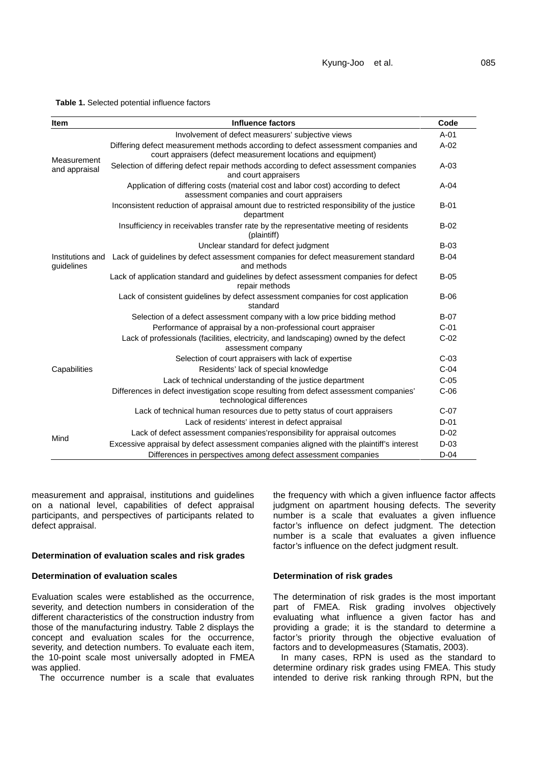**Table 1.** Selected potential influence factors

| <b>Item</b>                    | <b>Influence factors</b>                                                                                                                           | Code   |  |  |
|--------------------------------|----------------------------------------------------------------------------------------------------------------------------------------------------|--------|--|--|
|                                | Involvement of defect measurers' subjective views                                                                                                  |        |  |  |
| Measurement                    | Differing defect measurement methods according to defect assessment companies and<br>court appraisers (defect measurement locations and equipment) |        |  |  |
| and appraisal                  | Selection of differing defect repair methods according to defect assessment companies<br>and court appraisers                                      |        |  |  |
|                                | Application of differing costs (material cost and labor cost) according to defect<br>assessment companies and court appraisers                     |        |  |  |
|                                | Inconsistent reduction of appraisal amount due to restricted responsibility of the justice<br>department                                           |        |  |  |
|                                | Insufficiency in receivables transfer rate by the representative meeting of residents<br>(plaintiff)                                               |        |  |  |
|                                | Unclear standard for defect judgment                                                                                                               | $B-03$ |  |  |
| Institutions and<br>guidelines | Lack of guidelines by defect assessment companies for defect measurement standard<br>and methods                                                   |        |  |  |
|                                | Lack of application standard and guidelines by defect assessment companies for defect<br>repair methods                                            |        |  |  |
|                                | Lack of consistent guidelines by defect assessment companies for cost application<br>standard                                                      | $B-06$ |  |  |
|                                | Selection of a defect assessment company with a low price bidding method                                                                           | $B-07$ |  |  |
|                                | Performance of appraisal by a non-professional court appraiser                                                                                     | $C-01$ |  |  |
|                                | Lack of professionals (facilities, electricity, and landscaping) owned by the defect<br>assessment company                                         |        |  |  |
|                                | Selection of court appraisers with lack of expertise                                                                                               | $C-03$ |  |  |
| Capabilities                   | Residents' lack of special knowledge                                                                                                               | $C-04$ |  |  |
|                                | Lack of technical understanding of the justice department                                                                                          | $C-05$ |  |  |
|                                | Differences in defect investigation scope resulting from defect assessment companies'<br>technological differences                                 | $C-06$ |  |  |
|                                | Lack of technical human resources due to petty status of court appraisers                                                                          | $C-07$ |  |  |
|                                | Lack of residents' interest in defect appraisal                                                                                                    | $D-01$ |  |  |
| Mind                           | Lack of defect assessment companies' responsibility for appraisal outcomes                                                                         | $D-02$ |  |  |
|                                | Excessive appraisal by defect assessment companies aligned with the plaintiff's interest                                                           | $D-03$ |  |  |
|                                | Differences in perspectives among defect assessment companies                                                                                      | $D-04$ |  |  |

measurement and appraisal, institutions and guidelines on a national level, capabilities of defect appraisal participants, and perspectives of participants related to defect appraisal.

#### **Determination of evaluation scales and risk grades**

## **Determination of evaluation scales**

Evaluation scales were established as the occurrence, severity, and detection numbers in consideration of the different characteristics of the construction industry from those of the manufacturing industry. Table 2 displays the concept and evaluation scales for the occurrence, severity, and detection numbers. To evaluate each item, the 10-point scale most universally adopted in FMEA was applied.

The occurrence number is a scale that evaluates

the frequency with which a given influence factor affects judgment on apartment housing defects. The severity number is a scale that evaluates a given influence factor's influence on defect judgment. The detection number is a scale that evaluates a given influence factor's influence on the defect judgment result.

#### **Determination of risk grades**

The determination of risk grades is the most important part of FMEA. Risk grading involves objectively evaluating what influence a given factor has and providing a grade; it is the standard to determine a factor's priority through the objective evaluation of factors and to developmeasures (Stamatis, 2003).

In many cases, RPN is used as the standard to determine ordinary risk grades using FMEA. This study intended to derive risk ranking through RPN, but the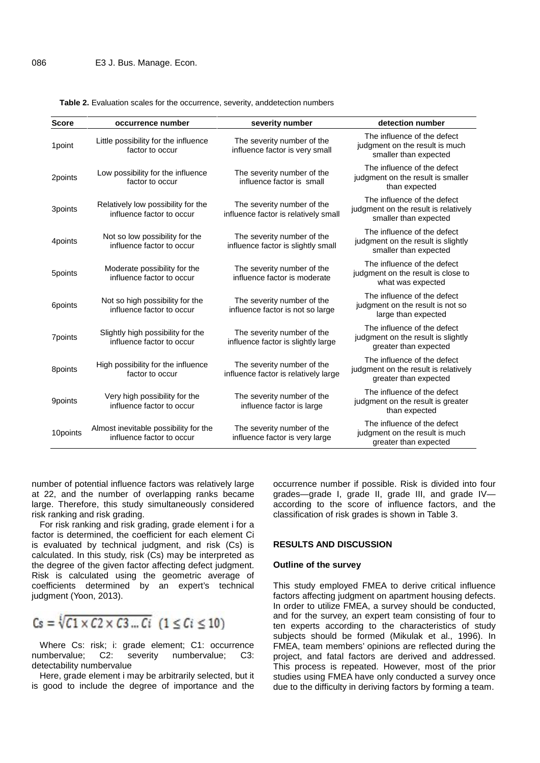| <b>Score</b> | occurrence number                                                  | severity number                                                    | detection number                                                                             |
|--------------|--------------------------------------------------------------------|--------------------------------------------------------------------|----------------------------------------------------------------------------------------------|
| 1point       | Little possibility for the influence<br>factor to occur            | The severity number of the<br>influence factor is very small       | The influence of the defect<br>judgment on the result is much<br>smaller than expected       |
| 2points      | Low possibility for the influence<br>factor to occur               | The severity number of the<br>influence factor is small            | The influence of the defect<br>judgment on the result is smaller<br>than expected            |
| 3points      | Relatively low possibility for the<br>influence factor to occur    | The severity number of the<br>influence factor is relatively small | The influence of the defect<br>judgment on the result is relatively<br>smaller than expected |
| 4points      | Not so low possibility for the<br>influence factor to occur        | The severity number of the<br>influence factor is slightly small   | The influence of the defect<br>judgment on the result is slightly<br>smaller than expected   |
| 5points      | Moderate possibility for the<br>influence factor to occur          | The severity number of the<br>influence factor is moderate         | The influence of the defect<br>judgment on the result is close to<br>what was expected       |
| 6points      | Not so high possibility for the<br>influence factor to occur       | The severity number of the<br>influence factor is not so large     | The influence of the defect<br>judgment on the result is not so<br>large than expected       |
| 7points      | Slightly high possibility for the<br>influence factor to occur     | The severity number of the<br>influence factor is slightly large   | The influence of the defect<br>judgment on the result is slightly<br>greater than expected   |
| 8points      | High possibility for the influence<br>factor to occur              | The severity number of the<br>influence factor is relatively large | The influence of the defect<br>judgment on the result is relatively<br>greater than expected |
| 9points      | Very high possibility for the<br>influence factor to occur         | The severity number of the<br>influence factor is large            | The influence of the defect<br>judgment on the result is greater<br>than expected            |
| 10points     | Almost inevitable possibility for the<br>influence factor to occur | The severity number of the<br>influence factor is very large       | The influence of the defect<br>judgment on the result is much<br>greater than expected       |

**Table 2.** Evaluation scales for the occurrence, severity, anddetection numbers

number of potential influence factors was relatively large at 22, and the number of overlapping ranks became large. Therefore, this study simultaneously considered risk ranking and risk grading.

For risk ranking and risk grading, grade element i for a factor is determined, the coefficient for each element Ci is evaluated by technical judgment, and risk (Cs) is calculated. In this study, risk (Cs) may be interpreted as the degree of the given factor affecting defect judgment. Risk is calculated using the geometric average of coefficients determined by an expert's technical judgment (Yoon, 2013).

$$
Cs = \sqrt[1]{C1 \times C2 \times C3 \dots Ci} \quad (1 \leq Ci \leq 10)
$$

Where Cs: risk; i: grade element; C1: occurrence numbervalue; C2: severity numbervalue; C3: detectability numbervalue

Here, grade element i may be arbitrarily selected, but it is good to include the degree of importance and the occurrence number if possible. Risk is divided into four grades—grade I, grade II, grade III, and grade IV according to the score of influence factors, and the classification of risk grades is shown in Table 3.

#### **RESULTS AND DISCUSSION**

#### **Outline of the survey**

This study employed FMEA to derive critical influence factors affecting judgment on apartment housing defects. In order to utilize FMEA, a survey should be conducted, and for the survey, an expert team consisting of four to ten experts according to the characteristics of study subjects should be formed (Mikulak et al., 1996). In FMEA, team members' opinions are reflected during the project, and fatal factors are derived and addressed. This process is repeated. However, most of the prior studies using FMEA have only conducted a survey once due to the difficulty in deriving factors by forming a team.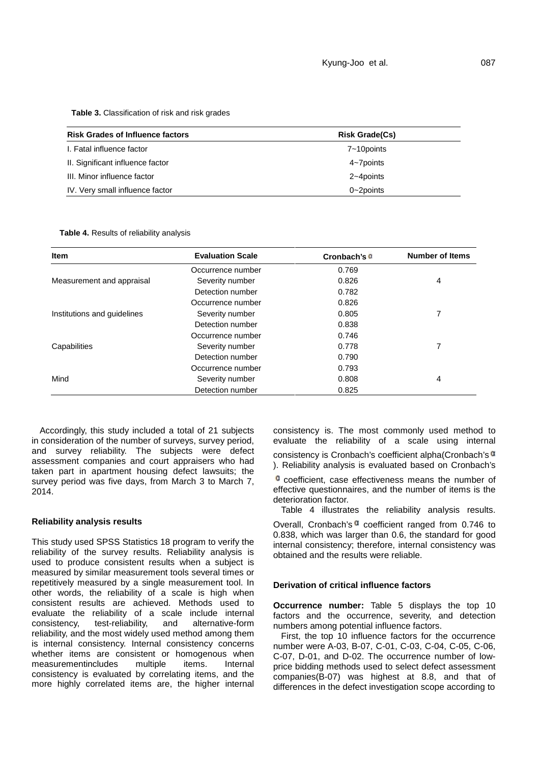**Table 3.** Classification of risk and risk grades

| <b>Risk Grades of Influence factors</b> | <b>Risk Grade(Cs)</b> |  |  |  |
|-----------------------------------------|-----------------------|--|--|--|
| I. Fatal influence factor               | 7~10 points           |  |  |  |
| II. Significant influence factor        | 4~7points             |  |  |  |
| III. Minor influence factor             | 2~4points             |  |  |  |
| IV. Very small influence factor         | $0 - 2$ points        |  |  |  |

**Table 4.** Results of reliability analysis

| <b>Item</b>                 | <b>Evaluation Scale</b> | Cronbach's <sup>a</sup> | <b>Number of Items</b> |  |
|-----------------------------|-------------------------|-------------------------|------------------------|--|
|                             | Occurrence number       | 0.769                   |                        |  |
| Measurement and appraisal   | Severity number         | 0.826                   | 4                      |  |
|                             | Detection number        | 0.782                   |                        |  |
|                             | Occurrence number       | 0.826                   |                        |  |
| Institutions and guidelines | Severity number         | 0.805                   |                        |  |
|                             | Detection number        | 0.838                   |                        |  |
|                             | Occurrence number       | 0.746                   |                        |  |
| Capabilities                | Severity number         | 0.778                   |                        |  |
|                             | Detection number        | 0.790                   |                        |  |
|                             | Occurrence number       | 0.793                   |                        |  |
| Mind                        | Severity number         | 0.808                   | 4                      |  |
|                             | Detection number        | 0.825                   |                        |  |

Accordingly, this study included a total of 21 subjects in consideration of the number of surveys, survey period, and survey reliability. The subjects were defect assessment companies and court appraisers who had taken part in apartment housing defect lawsuits; the survey period was five days, from March 3 to March 7, 2014.

## **Reliability analysis results**

This study used SPSS Statistics 18 program to verify the reliability of the survey results. Reliability analysis is used to produce consistent results when a subject is measured by similar measurement tools several times or repetitively measured by a single measurement tool. In other words, the reliability of a scale is high when consistent results are achieved. Methods used to evaluate the reliability of a scale include internal consistency, test-reliability, and alternative-form reliability, and the most widely used method among them is internal consistency. Internal consistency concerns whether items are consistent or homogenous when measurementincludes multiple items. Internal consistency is evaluated by correlating items, and the more highly correlated items are, the higher internal

consistency is. The most commonly used method to evaluate the reliability of a scale using internal

consistency is Cronbach's coefficient alpha(Cronbach's  $a$ ). Reliability analysis is evaluated based on Cronbach's

**a** coefficient, case effectiveness means the number of effective questionnaires, and the number of items is the deterioration factor.

Table 4 illustrates the reliability analysis results.

Overall, Cronbach's  $a$  coefficient ranged from 0.746 to 0.838, which was larger than 0.6, the standard for good internal consistency; therefore, internal consistency was obtained and the results were reliable.

#### **Derivation of critical influence factors**

**Occurrence number:** Table 5 displays the top 10 factors and the occurrence, severity, and detection numbers among potential influence factors.

First, the top 10 influence factors for the occurrence number were A-03, B-07, C-01, C-03, C-04, C-05, C-06, C-07, D-01, and D-02. The occurrence number of low price bidding methods used to select defect assessment companies(B-07) was highest at 8.8, and that of differences in the defect investigation scope according to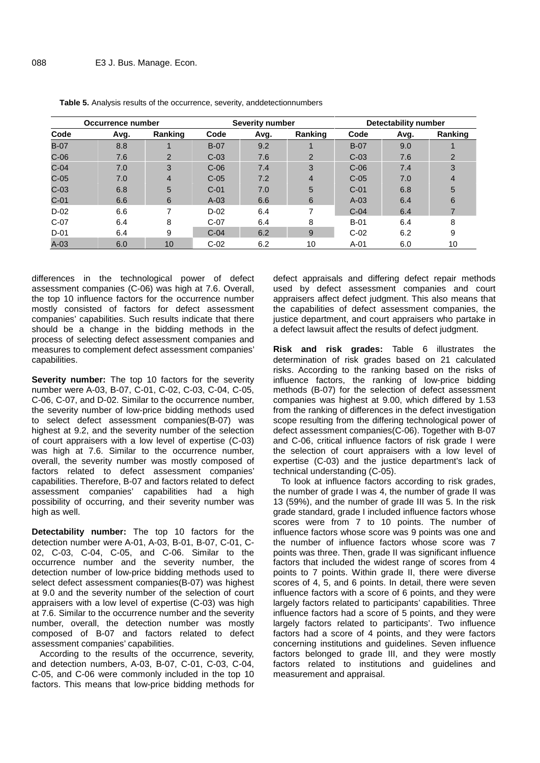| Occurrence number |      |                | <b>Severity number</b> |      |                | <b>Detectability number</b> |      |                |
|-------------------|------|----------------|------------------------|------|----------------|-----------------------------|------|----------------|
| Code              | Avg. | Ranking        | Code                   | Avg. | Ranking        | Code                        | Avg. | Ranking        |
| $B-07$            | 8.8  |                | $B-07$                 | 9.2  |                | $B-07$                      | 9.0  |                |
| $C-06$            | 7.6  | $\overline{2}$ | $C-03$                 | 7.6  | 2              | $C-03$                      | 7.6  | 2              |
| $C-04$            | 7.0  | 3              | $C-06$                 | 7.4  | 3              | $C-06$                      | 7.4  | 3              |
| $C-05$            | 7.0  | $\overline{4}$ | $C-05$                 | 7.2  | $\overline{4}$ | $C-05$                      | 7.0  | $\overline{4}$ |
| $C-03$            | 6.8  | 5              | $C-01$                 | 7.0  | 5              | $C-01$                      | 6.8  | 5              |
| $C-01$            | 6.6  | 6              | $A-03$                 | 6.6  | 6              | $A-03$                      | 6.4  | 6              |
| $D-02$            | 6.6  |                | $D-02$                 | 6.4  | 7              | $C-04$                      | 6.4  |                |
| $C-07$            | 6.4  | 8              | $C-07$                 | 6.4  | 8              | $B-01$                      | 6.4  | 8              |
| $D-01$            | 6.4  | 9              | $C-04$                 | 6.2  | 9              | $C-02$                      | 6.2  | 9              |
| $A-03$            | 6.0  | 10             | $C-02$                 | 6.2  | 10             | $A-01$                      | 6.0  | 10             |

**Table 5.** Analysis results of the occurrence, severity, anddetectionnumbers

differences in the technological power of defect assessment companies (C-06) was high at 7.6. Overall, the top 10 influence factors for the occurrence number mostly consisted of factors for defect assessment companies' capabilities. Such results indicate that there should be a change in the bidding methods in the process of selecting defect assessment companies and measures to complement defect assessment companies' capabilities.

**Severity number:** The top 10 factors for the severity number were A-03, B-07, C-01, C-02, C-03, C-04, C-05, C-06, C-07, and D-02. Similar to the occurrence number, the severity number of low-price bidding methods used to select defect assessment companies(B-07) was highest at 9.2, and the severity number of the selection of court appraisers with a low level of expertise (C-03) was high at 7.6. Similar to the occurrence number, overall, the severity number was mostly composed of factors related to defect assessment companies' capabilities. Therefore, B-07 and factors related to defect assessment companies' capabilities had a high possibility of occurring, and their severity number was high as well.

**Detectability number:** The top 10 factors for the detection number were A-01, A-03, B-01, B-07, C-01, C- 02, C-03, C-04, C-05, and C-06. Similar to the occurrence number and the severity number, the detection number of low-price bidding methods used to select defect assessment companies(B-07) was highest at 9.0 and the severity number of the selection of court appraisers with a low level of expertise (C-03) was high at 7.6. Similar to the occurrence number and the severity number, overall, the detection number was mostly composed of B-07 and factors related to defect assessment companies' capabilities.

According to the results of the occurrence, severity, and detection numbers, A-03, B-07, C-01, C-03, C-04, C-05, and C-06 were commonly included in the top 10 factors. This means that low-price bidding methods for defect appraisals and differing defect repair methods used by defect assessment companies and court appraisers affect defect judgment. This also means that the capabilities of defect assessment companies, the justice department, and court appraisers who partake in a defect lawsuit affect the results of defect judgment.

**Risk and risk grades:** Table 6 illustrates the determination of risk grades based on 21 calculated risks. According to the ranking based on the risks of influence factors, the ranking of low-price bidding methods (B-07) for the selection of defect assessment companies was highest at 9.00, which differed by 1.53 from the ranking of differences in the defect investigation scope resulting from the differing technological power of defect assessment companies(C-06). Together with B-07 and C-06, critical influence factors of risk grade I were the selection of court appraisers with a low level of expertise (C-03) and the justice department's lack of technical understanding (C-05).

To look at influence factors according to risk grades, the number of grade I was 4, the number of grade II was 13 (59%), and the number of grade III was 5. In the risk grade standard, grade I included influence factors whose scores were from 7 to 10 points. The number of influence factors whose score was 9 points was one and the number of influence factors whose score was 7 points was three. Then, grade II was significant influence factors that included the widest range of scores from 4 points to 7 points. Within grade II, there were diverse scores of 4, 5, and 6 points. In detail, there were seven influence factors with a score of 6 points, and they were largely factors related to participants' capabilities. Three influence factors had a score of 5 points, and they were largely factors related to participants'. Two influence factors had a score of 4 points, and they were factors concerning institutions and guidelines. Seven influence factors belonged to grade III, and they were mostly factors related to institutions and guidelines and measurement and appraisal.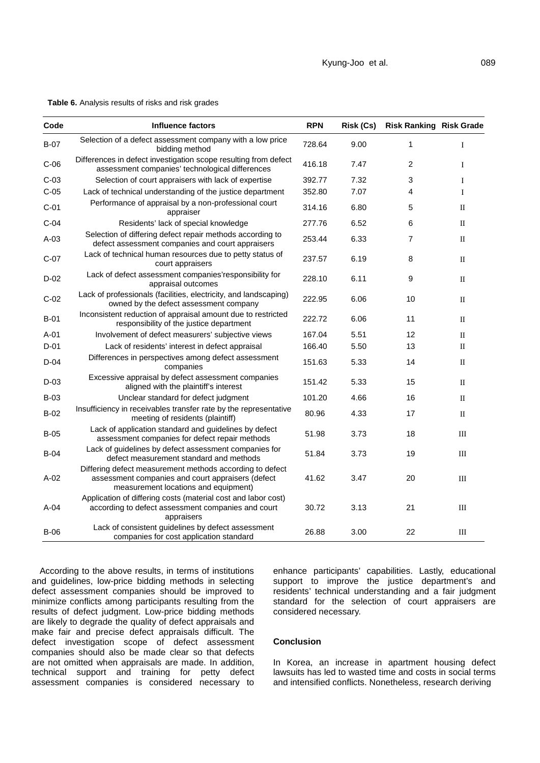| $B-07$ | Selection of a defect assessment company with a low price<br>bidding method                                        | 728.64 | 9.00 |   |  |
|--------|--------------------------------------------------------------------------------------------------------------------|--------|------|---|--|
| $C-06$ | Differences in defect investigation scope resulting from defect<br>assessment companies' technological differences | 416.18 | 7.47 |   |  |
| $C-03$ | Selection of court appraisers with lack of expertise                                                               | 392.77 | 7.32 |   |  |
| $C-05$ | Lack of technical understanding of the justice department                                                          | 352.80 | 7.07 | 4 |  |
| $C-01$ | Performance of appraisal by a non-professional court<br>appraiser                                                  | 314.16 | 6.80 | b |  |

**Table 6.** Analysis results of risks and risk grades

|        | assessment companies technological differences                                                                                                        |        |      |                |              |
|--------|-------------------------------------------------------------------------------------------------------------------------------------------------------|--------|------|----------------|--------------|
| $C-03$ | Selection of court appraisers with lack of expertise                                                                                                  | 392.77 | 7.32 | 3              | Ι            |
| $C-05$ | Lack of technical understanding of the justice department                                                                                             | 352.80 | 7.07 | 4              | L            |
| $C-01$ | Performance of appraisal by a non-professional court<br>appraiser                                                                                     | 314.16 | 6.80 | 5              | $\mathbf{I}$ |
| $C-04$ | Residents' lack of special knowledge                                                                                                                  | 277.76 | 6.52 | 6              | $\mathbf{I}$ |
| $A-03$ | Selection of differing defect repair methods according to<br>defect assessment companies and court appraisers                                         | 253.44 | 6.33 | $\overline{7}$ | $\mathbf{I}$ |
| $C-07$ | Lack of technical human resources due to petty status of<br>court appraisers                                                                          | 237.57 | 6.19 | 8              | $\mathbf{I}$ |
| $D-02$ | Lack of defect assessment companies'responsibility for<br>appraisal outcomes                                                                          | 228.10 | 6.11 | 9              | $\mathbf{I}$ |
| $C-02$ | Lack of professionals (facilities, electricity, and landscaping)<br>owned by the defect assessment company                                            | 222.95 | 6.06 | 10             | $\mathbf{I}$ |
| $B-01$ | Inconsistent reduction of appraisal amount due to restricted<br>responsibility of the justice department                                              | 222.72 | 6.06 | 11             | $\mathbf{I}$ |
| $A-01$ | Involvement of defect measurers' subjective views                                                                                                     | 167.04 | 5.51 | 12             | $\mathbf{I}$ |
| $D-01$ | Lack of residents' interest in defect appraisal                                                                                                       | 166.40 | 5.50 | 13             | $\mathbf{I}$ |
| $D-04$ | Differences in perspectives among defect assessment<br>companies                                                                                      | 151.63 | 5.33 | 14             | $\mathbf{I}$ |
| $D-03$ | Excessive appraisal by defect assessment companies<br>aligned with the plaintiff's interest                                                           | 151.42 | 5.33 | 15             | $\mathbf{I}$ |
| $B-03$ | Unclear standard for defect judgment                                                                                                                  | 101.20 | 4.66 | 16             | $\mathbf{I}$ |
| $B-02$ | Insufficiency in receivables transfer rate by the representative<br>meeting of residents (plaintiff)                                                  | 80.96  | 4.33 | 17             | $\mathbf{I}$ |
| $B-05$ | Lack of application standard and guidelines by defect<br>assessment companies for defect repair methods                                               | 51.98  | 3.73 | 18             | III          |
| $B-04$ | Lack of quidelines by defect assessment companies for<br>defect measurement standard and methods                                                      | 51.84  | 3.73 | 19             | $\rm III$    |
| $A-02$ | Differing defect measurement methods according to defect<br>assessment companies and court appraisers (defect<br>measurement locations and equipment) | 41.62  | 3.47 | 20             | Ш            |
| $A-04$ | Application of differing costs (material cost and labor cost)<br>according to defect assessment companies and court<br>appraisers                     | 30.72  | 3.13 | 21             | III          |
| $B-06$ | Lack of consistent guidelines by defect assessment<br>companies for cost application standard                                                         | 26.88  | 3.00 | 22             | Ш            |

**Code Influence factors RPN Risk (Cs) Risk Ranking Risk Grade**

According to the above results, in terms of institutions and guidelines, low-price bidding methods in selecting defect assessment companies should be improved to minimize conflicts among participants resulting from the results of defect judgment. Low-price bidding methods are likely to degrade the quality of defect appraisals and make fair and precise defect appraisals difficult. The defect investigation scope of defect assessment companies should also be made clear so that defects are not omitted when appraisals are made. In addition, technical support and training for petty defect assessment companies is considered necessary to enhance participants' capabilities. Lastly, educational support to improve the justice department's and residents' technical understanding and a fair judgment standard for the selection of court appraisers are considered necessary.

## **Conclusion**

In Korea, an increase in apartment housing defect lawsuits has led to wasted time and costs in social terms and intensified conflicts. Nonetheless, research deriving